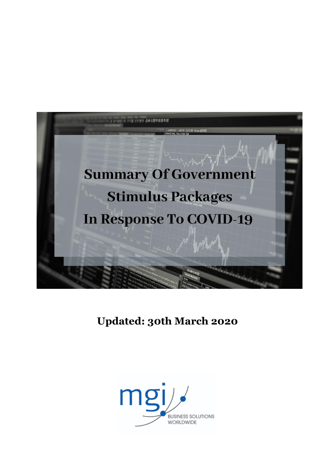

## **Updated: 30th March 2020**

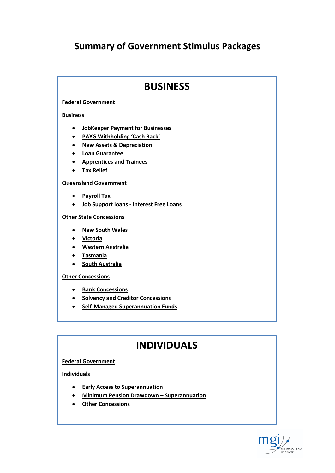## **Summary of Government Stimulus Packages**

## **BUSINESS**

## **Federal Government**

### **Business**

- **JobKeeper Payment for Businesses**
- **PAYG Withholding 'Cash Back'**
- **New Assets & Depreciation**
- **Loan Guarantee**
- **Apprentices and Trainees**
- **Tax Relief**

## **Queensland Government**

- **Payroll Tax**
- **Job Support loans - Interest Free Loans**

### **Other State Concessions**

- **New South Wales**
- **Victoria**
- **Western Australia**
- **Tasmania**
- **•** South Australia

### **Other Concessions**

- **•** Bank Concessions
- **•** Solvency and Creditor Concessions
- **Self-Managed Superannuation Funds**

## **INDIVIDUALS**

### **Federal Government**

**Individuals**

- **Early Access to Superannuation**
- **Minimum Pension Drawdown – Superannuation**
- **Other Concessions**

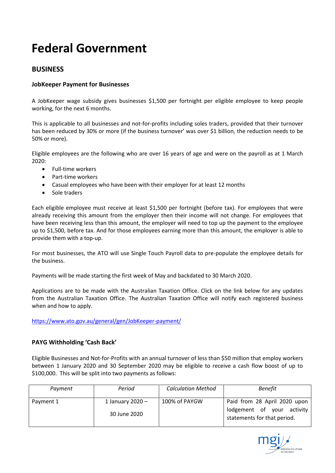## **Federal Government**

## **BUSINESS**

## **JobKeeper Payment for Businesses**

A JobKeeper wage subsidy gives businesses \$1,500 per fortnight per eligible employee to keep people working, for the next 6 months.

This is applicable to all businesses and not-for-profits including soles traders, provided that their turnover has been reduced by 30% or more (if the business turnover' was over \$1 billion, the reduction needs to be 50% or more).

Eligible employees are the following who are over 16 years of age and were on the payroll as at 1 March 2020:

- Full-time workers
- Part-time workers
- Casual employees who have been with their employer for at least 12 months
- Sole traders

Each eligible employee must receive at least \$1,500 per fortnight (before tax). For employees that were already receiving this amount from the employer then their income will not change. For employees that have been receiving less than this amount, the employer will need to top up the payment to the employee up to \$1,500, before tax. And for those employees earning more than this amount, the employer is able to provide them with a top-up.

For most businesses, the ATO will use Single Touch Payroll data to pre-populate the employee details for the business.

Payments will be made starting the first week of May and backdated to 30 March 2020.

Applications are to be made with the Australian Taxation Office. Click on the link below for any updates from the Australian Taxation Office. The Australian Taxation Office will notify each registered business when and how to apply.

<https://www.ato.gov.au/general/gen/JobKeeper-payment/>

## **PAYG Withholding 'Cash Back'**

Eligible Businesses and Not-for-Profits with an annual turnover of less than \$50 million that employ workers between 1 January 2020 and 30 September 2020 may be eligible to receive a cash flow boost of up to \$100,000. This will be split into two payments as follows:

| Payment   | Period                             | <b>Calculation Method</b> | <b>Benefit</b>                                                                            |
|-----------|------------------------------------|---------------------------|-------------------------------------------------------------------------------------------|
| Payment 1 | 1 January 2020 $-$<br>30 June 2020 | 100% of PAYGW             | Paid from 28 April 2020 upon<br>lodgement of your activity<br>statements for that period. |

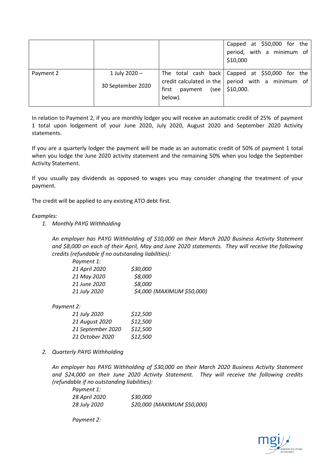|           |                                    |                                       | Capped at \$50,000 for the<br>period, with a minimum of<br>\$10,000                                                        |
|-----------|------------------------------------|---------------------------------------|----------------------------------------------------------------------------------------------------------------------------|
| Payment 2 | 1 July 2020 -<br>30 September 2020 | first<br>payment<br>(see l<br>below). | The total cash back   Capped at \$50,000 for the<br>credit calculated in the $ $ period with a minimum of $ $<br>\$10,000. |

In relation to Payment 2, if you are monthly lodger you will receive an automatic credit of 25% of payment 1 total upon lodgement of your June 2020, July 2020, August 2020 and September 2020 Activity statements.

If you are a quarterly lodger the payment will be made as an automatic credit of 50% of payment 1 total when you lodge the June 2020 activity statement and the remaining 50% when you lodge the September Activity Statement.

If you usually pay dividends as opposed to wages you may consider changing the treatment of your payment.

The credit will be applied to any existing ATO debt first.

### *Examples:*

*1. Monthly PAYG Withholding* 

*An employer has PAYG Withholding of \$10,000 on their March 2020 Business Activity Statement and \$8,000 on each of their April, May and June 2020 statements. They will receive the following credits (refundable if no outstanding liabilities):*

| Payment 1:    |                            |  |
|---------------|----------------------------|--|
| 21 April 2020 | \$30,000                   |  |
| 21 May 2020   | \$8,000                    |  |
| 21 June 2020  | \$8,000                    |  |
| 21 July 2020  | \$4,000 (MAXIMUM \$50,000) |  |
|               |                            |  |

*Payment 2:*

| 21 July 2020      | \$12,500 |
|-------------------|----------|
| 21 August 2020    | \$12,500 |
| 21 September 2020 | \$12,500 |
| 21 October 2020   | \$12,500 |

*2. Quarterly PAYG Withholding*

*An employer has PAYG Withholding of \$30,000 on their March 2020 Business Activity Statement and \$24,000 on their June 2020 Activity Statement. They will receive the following credits (refundable if no outstanding liabilities):*

| Payment 1:    |                             |
|---------------|-----------------------------|
| 28 April 2020 | \$30,000                    |
| 28 July 2020  | \$20,000 (MAXIMUM \$50,000) |

*Payment 2:*

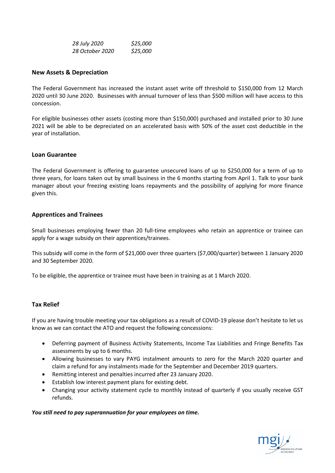| 28 July 2020    | \$25,000 |  |
|-----------------|----------|--|
| 28 October 2020 | \$25,000 |  |

### **New Assets & Depreciation**

The Federal Government has increased the instant asset write off threshold to \$150,000 from 12 March 2020 until 30 June 2020. Businesses with annual turnover of less than \$500 million will have access to this concession.

For eligible businesses other assets (costing more than \$150,000) purchased and installed prior to 30 June 2021 will be able to be depreciated on an accelerated basis with 50% of the asset cost deductible in the year of installation.

### **Loan Guarantee**

The Federal Government is offering to guarantee unsecured loans of up to \$250,000 for a term of up to three years, for loans taken out by small business in the 6 months starting from April 1. Talk to your bank manager about your freezing existing loans repayments and the possibility of applying for more finance given this.

### **Apprentices and Trainees**

Small businesses employing fewer than 20 full-time employees who retain an apprentice or trainee can apply for a wage subsidy on their apprentices/trainees.

This subsidy will come in the form of \$21,000 over three quarters (\$7,000/quarter) between 1 January 2020 and 30 September 2020.

To be eligible, the apprentice or trainee must have been in training as at 1 March 2020.

### **Tax Relief**

If you are having trouble meeting your tax obligations as a result of COVID-19 please don't hesitate to let us know as we can contact the ATO and request the following concessions:

- Deferring payment of Business Activity Statements, Income Tax Liabilities and Fringe Benefits Tax assessments by up to 6 months.
- Allowing businesses to vary PAYG instalment amounts to zero for the March 2020 quarter and claim a refund for any instalments made for the September and December 2019 quarters.
- Remitting interest and penalties incurred after 23 January 2020.
- Establish low interest payment plans for existing debt.
- Changing your activity statement cycle to monthly instead of quarterly if you usually receive GST refunds.

### *You still need to pay superannuation for your employees on time.*

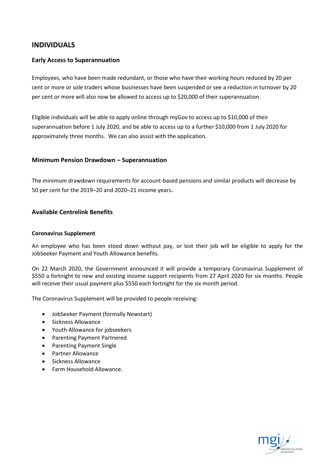## **INDIVIDUALS**

### **Early Access to Superannuation**

Employees, who have been made redundant, or those who have their working hours reduced by 20 per cent or more or sole traders whose businesses have been suspended or see a reduction in turnover by 20 per cent or more will also now be allowed to access up to \$20,000 of their superannuation.

Eligible individuals will be able to apply online through myGov to access up to \$10,000 of their superannuation before 1 July 2020, and be able to access up to a further \$10,000 from 1 July 2020 for approximately three months. We can also assist with the application.

### **Minimum Pension Drawdown – Superannuation**

The minimum drawdown requirements for account-based pensions and similar products will decrease by 50 per cent for the 2019–20 and 2020–21 income years.

### **Available Centrelink Benefits**

#### **Coronavirus Supplement**

An employee who has been stood down without pay, or lost their job will be eligible to apply for the JobSeeker Payment and Youth Allowance benefits.

On 22 March 2020, the Government announced it will provide a temporary Coronavirus Supplement of \$550 a fortnight to new and existing income support recipients from 27 April 2020 for six months. People will receive their usual payment plus \$550 each fortnight for the six month period.

The Coronavirus Supplement will be provided to people receiving:

- JobSeeker Payment (formally Newstart)
- Sickness Allowance
- Youth Allowance for jobseekers
- Parenting Payment Partnered
- Parenting Payment Single
- Partner Allowance
- Sickness Allowance
- Farm Household Allowance.

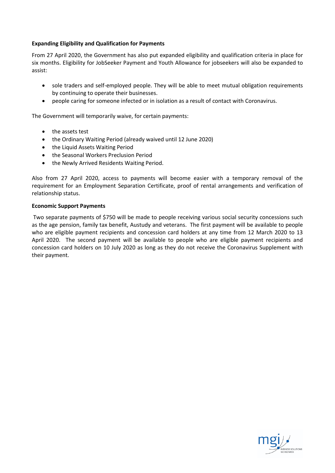### **Expanding Eligibility and Qualification for Payments**

From 27 April 2020, the Government has also put expanded eligibility and qualification criteria in place for six months. Eligibility for JobSeeker Payment and Youth Allowance for jobseekers will also be expanded to assist:

- sole traders and self-employed people. They will be able to meet mutual obligation requirements by continuing to operate their businesses.
- people caring for someone infected or in isolation as a result of contact with Coronavirus.

The Government will temporarily waive, for certain payments:

- the assets test
- the Ordinary Waiting Period (already waived until 12 June 2020)
- the Liquid Assets Waiting Period
- the Seasonal Workers Preclusion Period
- the Newly Arrived Residents Waiting Period.

Also from 27 April 2020, access to payments will become easier with a temporary removal of the requirement for an Employment Separation Certificate, proof of rental arrangements and verification of relationship status.

#### **Economic Support Payments**

Two separate payments of \$750 will be made to people receiving various social security concessions such as the age pension, family tax benefit, Austudy and veterans. The first payment will be available to people who are eligible payment recipients and concession card holders at any time from 12 March 2020 to 13 April 2020. The second payment will be available to people who are eligible payment recipients and concession card holders on 10 July 2020 as long as they do not receive the Coronavirus Supplement with their payment.

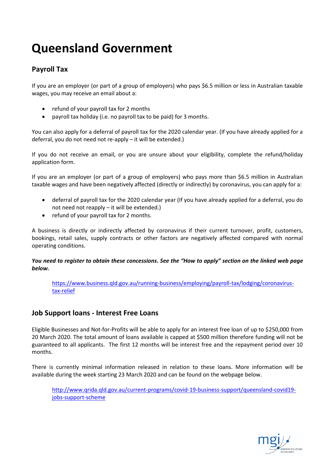# **Queensland Government**

## **Payroll Tax**

If you are an employer (or part of a group of employers) who pays \$6.5 million or less in Australian taxable wages, you may receive an email about a:

- refund of your payroll tax for 2 months
- payroll tax holiday (i.e. no payroll tax to be paid) for 3 months.

You can also apply for a deferral of payroll tax for the 2020 calendar year. (If you have already applied for a deferral, you do not need not re-apply – it will be extended.)

If you do not receive an email, or you are unsure about your eligibility, complete the refund/holiday application form.

If you are an employer (or part of a group of employers) who pays more than \$6.5 million in Australian taxable wages and have been negatively affected (directly or indirectly) by coronavirus, you can apply for a:

- deferral of payroll tax for the 2020 calendar year (If you have already applied for a deferral, you do not need not reapply – it will be extended.)
- refund of your payroll tax for 2 months.

A business is directly or indirectly affected by coronavirus if their current turnover, profit, customers, bookings, retail sales, supply contracts or other factors are negatively affected compared with normal operating conditions.

*You need to register to obtain these concessions***.** *See the "How to apply" section on the linked web page below.*

[https://www.business.qld.gov.au/running-business/employing/payroll-tax/lodging/coronavirus](https://www.business.qld.gov.au/running-business/employing/payroll-tax/lodging/coronavirus-tax-relief)[tax-relief](https://www.business.qld.gov.au/running-business/employing/payroll-tax/lodging/coronavirus-tax-relief)

## **Job Support loans - Interest Free Loans**

Eligible Businesses and Not-for-Profits will be able to apply for an interest free loan of up to \$250,000 from 20 March 2020. The total amount of loans available is capped at \$500 million therefore funding will not be guaranteed to all applicants. The first 12 months will be interest free and the repayment period over 10 months.

There is currently minimal information released in relation to these loans. More information will be available during the week starting 23 March 2020 and can be found on the webpage below.

[http://www.qrida.qld.gov.au/current-programs/covid-19-business-support/queensland-covid19](http://www.qrida.qld.gov.au/current-programs/covid-19-business-support/queensland-covid19-jobs-support-scheme) [jobs-support-scheme](http://www.qrida.qld.gov.au/current-programs/covid-19-business-support/queensland-covid19-jobs-support-scheme)

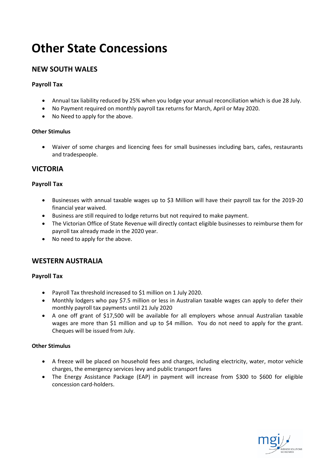# **Other State Concessions**

## **NEW SOUTH WALES**

## **Payroll Tax**

- Annual tax liability reduced by 25% when you lodge your annual reconciliation which is due 28 July.
- No Payment required on monthly payroll tax returns for March, April or May 2020.
- No Need to apply for the above.

## **Other Stimulus**

 Waiver of some charges and licencing fees for small businesses including bars, cafes, restaurants and tradespeople.

## **VICTORIA**

## **Payroll Tax**

- Businesses with annual taxable wages up to \$3 Million will have their payroll tax for the 2019-20 financial year waived.
- Business are still required to lodge returns but not required to make payment.
- The Victorian Office of State Revenue will directly contact eligible businesses to reimburse them for payroll tax already made in the 2020 year.
- No need to apply for the above.

## **WESTERN AUSTRALIA**

## **Payroll Tax**

- Payroll Tax threshold increased to \$1 million on 1 July 2020.
- Monthly lodgers who pay \$7.5 million or less in Australian taxable wages can apply to defer their monthly payroll tax payments until 21 July 2020
- A one off grant of \$17,500 will be available for all employers whose annual Australian taxable wages are more than \$1 million and up to \$4 million. You do not need to apply for the grant. Cheques will be issued from July.

## **Other Stimulus**

- A freeze will be placed on household fees and charges, including electricity, water, motor vehicle charges, the emergency services levy and public transport fares
- The Energy Assistance Package (EAP) in payment will increase from \$300 to \$600 for eligible concession card-holders.

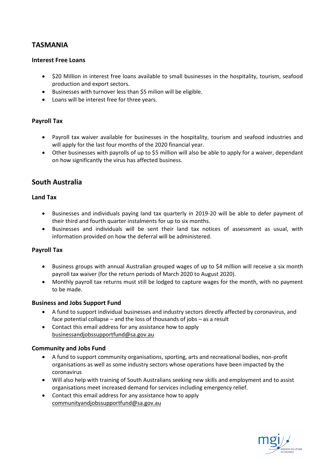## **TASMANIA**

## **Interest Free Loans**

- \$20 Million in interest free loans available to small businesses in the hospitality, tourism, seafood production and export sectors.
- Businesses with turnover less than \$5 milion will be eligible.
- Loans will be interest free for three years.

## **Payroll Tax**

- Payroll tax waiver available for businesses in the hospitality, tourism and seafood industries and will apply for the last four months of the 2020 financial year.
- Other businesses with payrolls of up to \$5 million will also be able to apply for a waiver, dependant on how significantly the virus has affected business.

## **South Australia**

## **Land Tax**

- Businesses and individuals paying land tax quarterly in 2019-20 will be able to defer payment of their third and fourth quarter instalments for up to six months.
- Businesses and individuals will be sent their land tax notices of assessment as usual, with information provided on how the deferral will be administered.

## **Payroll Tax**

- Business groups with annual Australian grouped wages of up to \$4 million will receive a six month payroll tax waiver (for the return periods of March 2020 to August 2020).
- Monthly payroll tax returns must still be lodged to capture wages for the month, with no payment to be made.

## **Business and Jobs Support Fund**

- A fund to support individual businesses and industry sectors directly affected by coronavirus, and face potential collapse – and the loss of thousands of jobs – as a result
- Contact this email address for any assistance how to apply [businessandjobssupportfund@sa.gov.au](mailto:businessandjobssupportfund@sa.gov.au)

## **Community and Jobs Fund**

- A fund to support community organisations, sporting, arts and recreational bodies, non-profit organisations as well as some industry sectors whose operations have been impacted by the coronavirus
- Will also help with training of South Australians seeking new skills and employment and to assist organisations meet increased demand for services including emergency relief.
- Contact this email address for any assistance how to apply [communityandjobssupportfund@sa.gov.au](mailto:communityandjobssupportfund@sa.gov.au)

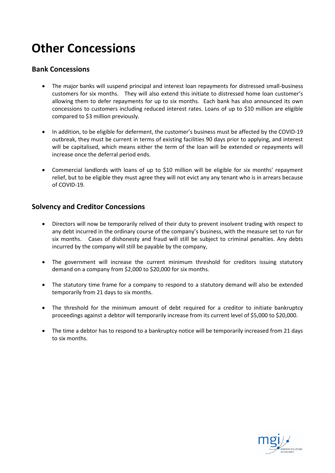# **Other Concessions**

## **Bank Concessions**

- The major banks will suspend principal and interest loan repayments for distressed small-business customers for six months. They will also extend this initiate to distressed home loan customer's allowing them to defer repayments for up to six months. Each bank has also announced its own concessions to customers including reduced interest rates. Loans of up to \$10 million are eligible compared to \$3 million previously.
- In addition, to be eligible for deferment, the customer's business must be affected by the COVID-19 outbreak, they must be current in terms of existing facilities 90 days prior to applying, and interest will be capitalised, which means either the term of the loan will be extended or repayments will increase once the deferral period ends.
- Commercial landlords with loans of up to \$10 million will be eligible for six months' repayment relief, but to be eligible they must agree they will not evict any any tenant who is in arrears because of COVID-19.

## **Solvency and Creditor Concessions**

- Directors will now be temporarily relived of their duty to prevent insolvent trading with respect to any debt incurred in the ordinary course of the company's business, with the measure set to run for six months. Cases of dishonesty and fraud will still be subject to criminal penalties. Any debts incurred by the company will still be payable by the company,
- The government will increase the current minimum threshold for creditors issuing statutory demand on a company from \$2,000 to \$20,000 for six months.
- The statutory time frame for a company to respond to a statutory demand will also be extended temporarily from 21 days to six months.
- The threshold for the minimum amount of debt required for a creditor to initiate bankruptcy proceedings against a debtor will temporarily increase from its current level of \$5,000 to \$20,000.
- The time a debtor has to respond to a bankruptcy notice will be temporarily increased from 21 days to six months.